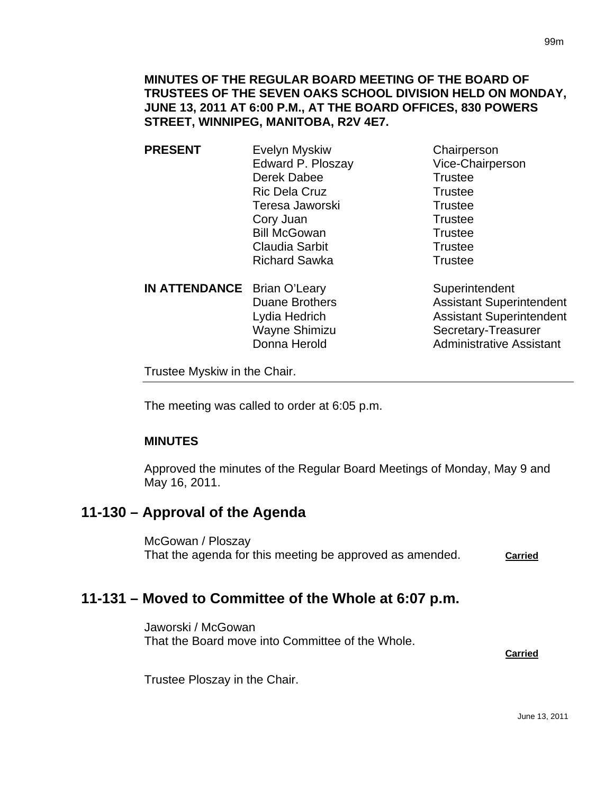**MINUTES OF THE REGULAR BOARD MEETING OF THE BOARD OF TRUSTEES OF THE SEVEN OAKS SCHOOL DIVISION HELD ON MONDAY, JUNE 13, 2011 AT 6:00 P.M., AT THE BOARD OFFICES, 830 POWERS STREET, WINNIPEG, MANITOBA, R2V 4E7.** 

- **PRESENT** Evelyn Myskiw Chairperson Edward P. Ploszay Vice-Chairperson Derek Dabee Trustee Ric Dela Cruz Trustee Teresa Jaworski **Trustee** Cory Juan Trustee Bill McGowan Trustee Claudia Sarbit **Trustee** Richard Sawka<br>
Trustee
	- **IN ATTENDANCE** Brian O'Leary Superintendent Wayne Shimizu Secretary-Treasurer

Duane Brothers **Assistant Superintendent** Lydia Hedrich **Assistant Superintendent** 

Donna Herold **Administrative Assistant** 

Trustee Myskiw in the Chair.

The meeting was called to order at 6:05 p.m.

### **MINUTES**

Approved the minutes of the Regular Board Meetings of Monday, May 9 and May 16, 2011.

# **11-130 – Approval of the Agenda**

McGowan / Ploszay That the agenda for this meeting be approved as amended. **Carried**

# **11-131 – Moved to Committee of the Whole at 6:07 p.m.**

Jaworski / McGowan That the Board move into Committee of the Whole.

**Carried** Carried Communication of the Carried Carried Carried Carried Carried Carried Carried Carried Carried Carried Carried Carried Carried Carried Carried Carried Carried Carried Carried Carried Carried Carried Carried

Trustee Ploszay in the Chair.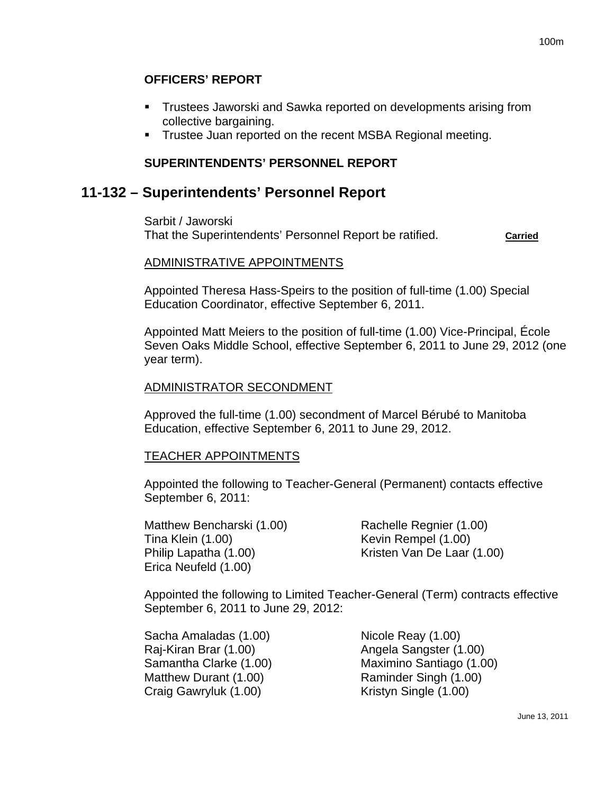### **OFFICERS' REPORT**

- Trustees Jaworski and Sawka reported on developments arising from collective bargaining.
- **Trustee Juan reported on the recent MSBA Regional meeting.**

## **SUPERINTENDENTS' PERSONNEL REPORT**

# **11-132 – Superintendents' Personnel Report**

Sarbit / Jaworski That the Superintendents' Personnel Report be ratified. **Carried**

### ADMINISTRATIVE APPOINTMENTS

Appointed Theresa Hass-Speirs to the position of full-time (1.00) Special Education Coordinator, effective September 6, 2011.

Appointed Matt Meiers to the position of full-time (1.00) Vice-Principal, École Seven Oaks Middle School, effective September 6, 2011 to June 29, 2012 (one year term).

### ADMINISTRATOR SECONDMENT

Approved the full-time (1.00) secondment of Marcel Bérubé to Manitoba Education, effective September 6, 2011 to June 29, 2012.

#### TEACHER APPOINTMENTS

Appointed the following to Teacher-General (Permanent) contacts effective September 6, 2011:

Matthew Bencharski (1.00) Rachelle Regnier (1.00) Tina Klein (1.00) Kevin Rempel (1.00) Erica Neufeld (1.00)

Philip Lapatha (1.00) Kristen Van De Laar (1.00)

Appointed the following to Limited Teacher-General (Term) contracts effective September 6, 2011 to June 29, 2012:

Sacha Amaladas (1.00) Nicole Reay (1.00) Raj-Kiran Brar (1.00) Angela Sangster (1.00) Matthew Durant (1.00) Raminder Singh (1.00) Craig Gawryluk (1.00) Kristyn Single (1.00)

Samantha Clarke (1.00) Maximino Santiago (1.00)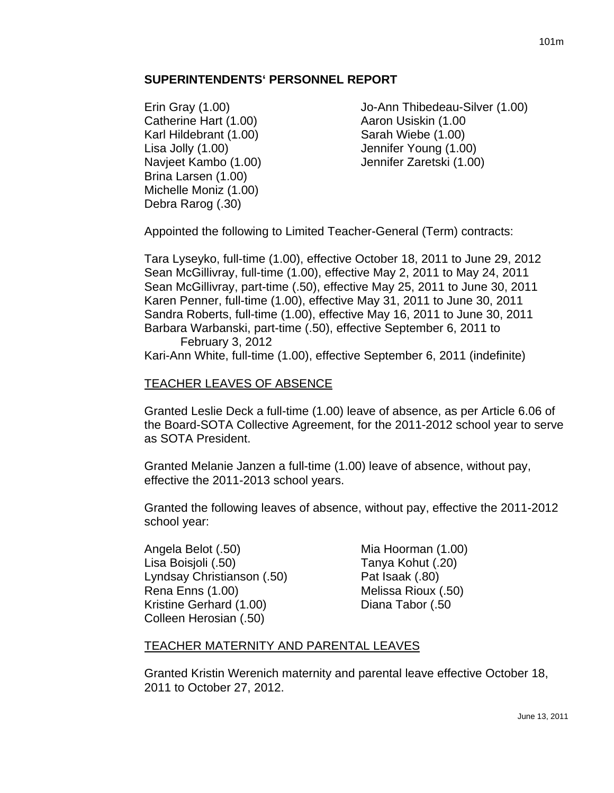### **SUPERINTENDENTS' PERSONNEL REPORT**

Catherine Hart (1.00) Catherine Hart (1.00 Karl Hildebrant (1.00) Sarah Wiebe (1.00) Lisa Jolly (1.00) Jennifer Young (1.00) Brina Larsen (1.00) Michelle Moniz (1.00) Debra Rarog (.30)

Erin Gray (1.00) Jo-Ann Thibedeau-Silver (1.00) Navjeet Kambo (1.00) Jennifer Zaretski (1.00)

Appointed the following to Limited Teacher-General (Term) contracts:

Tara Lyseyko, full-time (1.00), effective October 18, 2011 to June 29, 2012 Sean McGillivray, full-time (1.00), effective May 2, 2011 to May 24, 2011 Sean McGillivray, part-time (.50), effective May 25, 2011 to June 30, 2011 Karen Penner, full-time (1.00), effective May 31, 2011 to June 30, 2011 Sandra Roberts, full-time (1.00), effective May 16, 2011 to June 30, 2011 Barbara Warbanski, part-time (.50), effective September 6, 2011 to

February 3, 2012 Kari-Ann White, full-time (1.00), effective September 6, 2011 (indefinite)

### TEACHER LEAVES OF ABSENCE

Granted Leslie Deck a full-time (1.00) leave of absence, as per Article 6.06 of the Board-SOTA Collective Agreement, for the 2011-2012 school year to serve as SOTA President.

Granted Melanie Janzen a full-time (1.00) leave of absence, without pay, effective the 2011-2013 school years.

Granted the following leaves of absence, without pay, effective the 2011-2012 school year:

Angela Belot (.50) Mia Hoorman (1.00) Lisa Boisjoli (.50) Tanya Kohut (.20) Lyndsay Christianson (.50) Pat Isaak (.80) Rena Enns (1.00) Melissa Rioux (.50) Kristine Gerhard (1.00) Diana Tabor (.50 Colleen Herosian (.50)

### TEACHER MATERNITY AND PARENTAL LEAVES

Granted Kristin Werenich maternity and parental leave effective October 18, 2011 to October 27, 2012.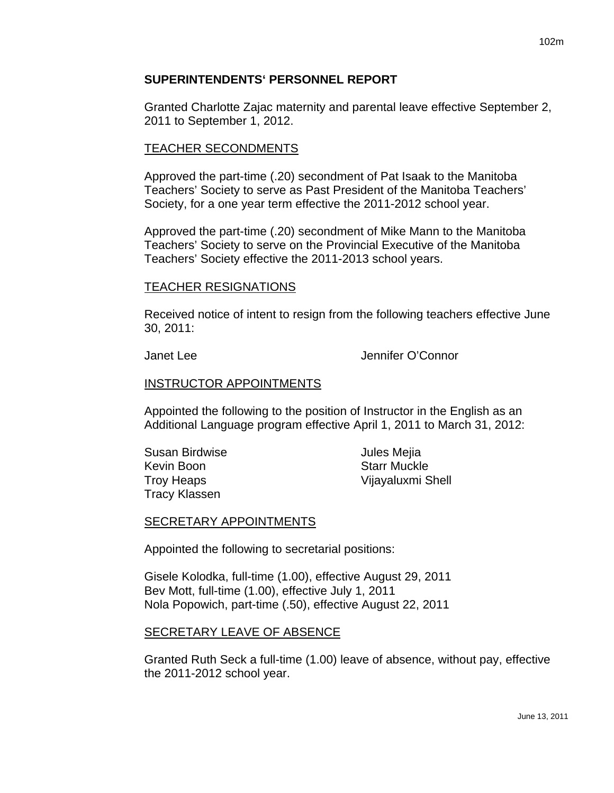### **SUPERINTENDENTS' PERSONNEL REPORT**

Granted Charlotte Zajac maternity and parental leave effective September 2, 2011 to September 1, 2012.

### TEACHER SECONDMENTS

Approved the part-time (.20) secondment of Pat Isaak to the Manitoba Teachers' Society to serve as Past President of the Manitoba Teachers' Society, for a one year term effective the 2011-2012 school year.

Approved the part-time (.20) secondment of Mike Mann to the Manitoba Teachers' Society to serve on the Provincial Executive of the Manitoba Teachers' Society effective the 2011-2013 school years.

### TEACHER RESIGNATIONS

Received notice of intent to resign from the following teachers effective June 30, 2011:

Janet Lee Jennifer O'Connor

### INSTRUCTOR APPOINTMENTS

Appointed the following to the position of Instructor in the English as an Additional Language program effective April 1, 2011 to March 31, 2012:

Susan Birdwise **Guide Communist Communist Communist Communist Communist Communist Communist Communist Communist Communist Communist Communist Communist Communist Communist Communist Communist Communist Communist Communist** Kevin Boon Starr Muckle Tracy Klassen

Troy Heaps Vijayaluxmi Shell

### SECRETARY APPOINTMENTS

Appointed the following to secretarial positions:

Gisele Kolodka, full-time (1.00), effective August 29, 2011 Bev Mott, full-time (1.00), effective July 1, 2011 Nola Popowich, part-time (.50), effective August 22, 2011

### SECRETARY LEAVE OF ABSENCE

Granted Ruth Seck a full-time (1.00) leave of absence, without pay, effective the 2011-2012 school year.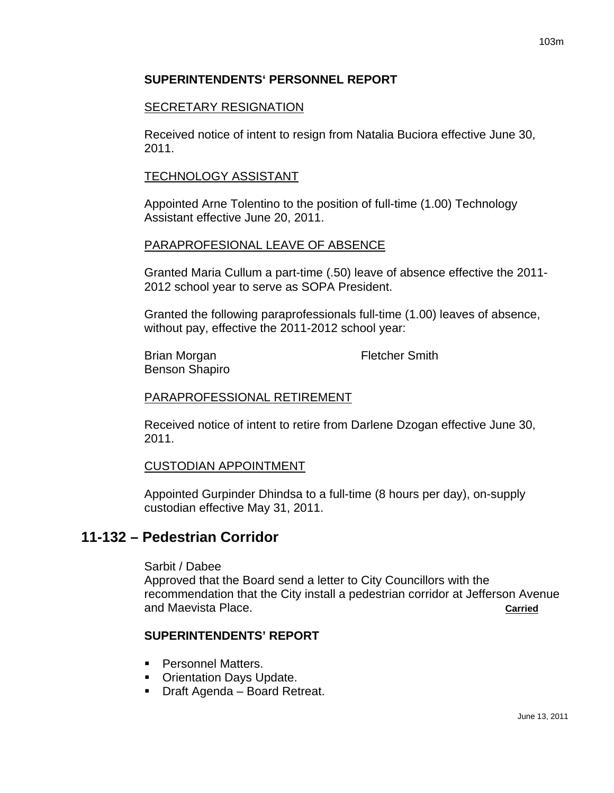## **SUPERINTENDENTS' PERSONNEL REPORT**

### SECRETARY RESIGNATION

Received notice of intent to resign from Natalia Buciora effective June 30, 2011.

### TECHNOLOGY ASSISTANT

Appointed Arne Tolentino to the position of full-time (1.00) Technology Assistant effective June 20, 2011.

### PARAPROFESIONAL LEAVE OF ABSENCE

Granted Maria Cullum a part-time (.50) leave of absence effective the 2011- 2012 school year to serve as SOPA President.

Granted the following paraprofessionals full-time (1.00) leaves of absence, without pay, effective the 2011-2012 school year:

Brian Morgan **Fletcher Smith** Benson Shapiro

### PARAPROFESSIONAL RETIREMENT

Received notice of intent to retire from Darlene Dzogan effective June 30, 2011.

#### CUSTODIAN APPOINTMENT

Appointed Gurpinder Dhindsa to a full-time (8 hours per day), on-supply custodian effective May 31, 2011.

## **11-132 – Pedestrian Corridor**

Sarbit / Dabee

Approved that the Board send a letter to City Councillors with the recommendation that the City install a pedestrian corridor at Jefferson Avenue and Maevista Place. **Carried**

### **SUPERINTENDENTS' REPORT**

- **Personnel Matters.**
- **Orientation Days Update.**
- Draft Agenda Board Retreat.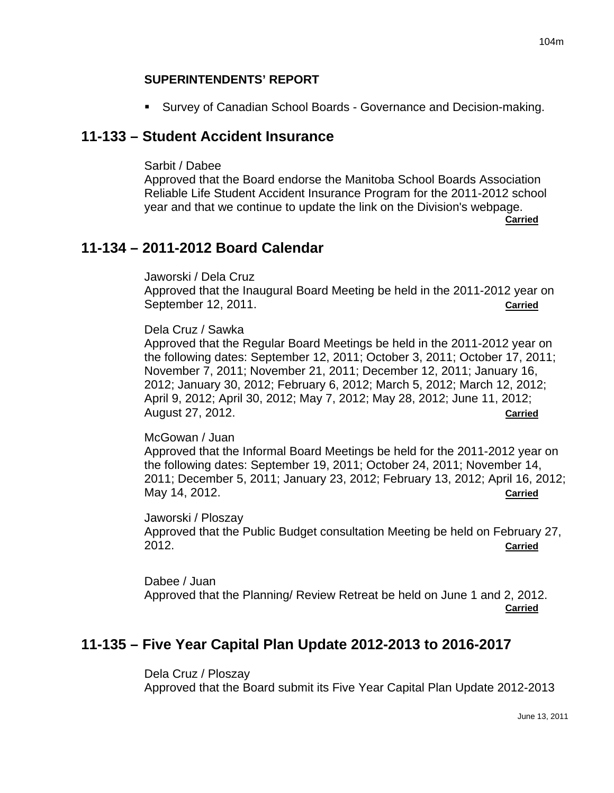### **SUPERINTENDENTS' REPORT**

Survey of Canadian School Boards - Governance and Decision-making.

# **11-133 – Student Accident Insurance**

Sarbit / Dabee

Approved that the Board endorse the Manitoba School Boards Association Reliable Life Student Accident Insurance Program for the 2011-2012 school year and that we continue to update the link on the Division's webpage.

**Carried**

# **11-134 – 2011-2012 Board Calendar**

Jaworski / Dela Cruz Approved that the Inaugural Board Meeting be held in the 2011-2012 year on September 12, 2011. **Carried**

### Dela Cruz / Sawka

Approved that the Regular Board Meetings be held in the 2011-2012 year on the following dates: September 12, 2011; October 3, 2011; October 17, 2011; November 7, 2011; November 21, 2011; December 12, 2011; January 16, 2012; January 30, 2012; February 6, 2012; March 5, 2012; March 12, 2012; April 9, 2012; April 30, 2012; May 7, 2012; May 28, 2012; June 11, 2012; August 27, 2012. **Carried**

### McGowan / Juan

Approved that the Informal Board Meetings be held for the 2011-2012 year on the following dates: September 19, 2011; October 24, 2011; November 14, 2011; December 5, 2011; January 23, 2012; February 13, 2012; April 16, 2012; May 14, 2012. **Carried**

Jaworski / Ploszay Approved that the Public Budget consultation Meeting be held on February 27, 2012. **Carried**

Dabee / Juan Approved that the Planning/ Review Retreat be held on June 1 and 2, 2012. **Carried**

# **11-135 – Five Year Capital Plan Update 2012-2013 to 2016-2017**

Dela Cruz / Ploszay Approved that the Board submit its Five Year Capital Plan Update 2012-2013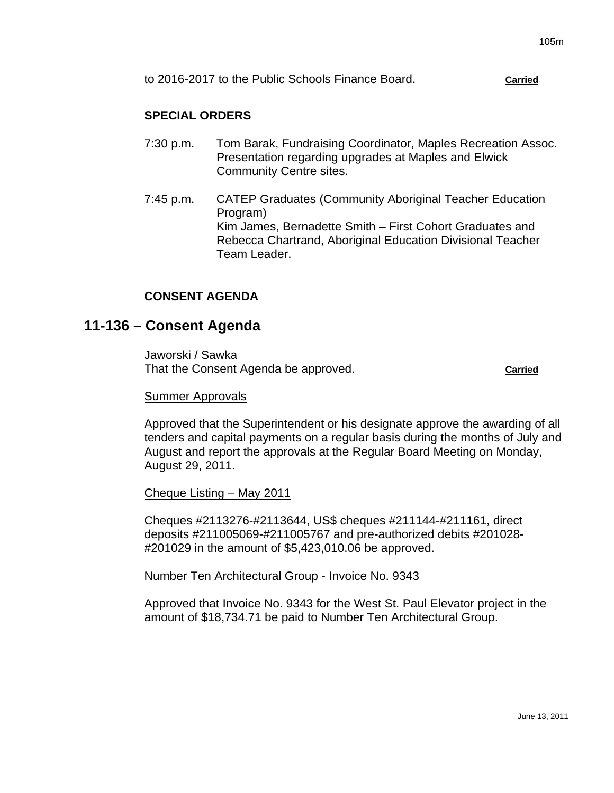to 2016-2017 to the Public Schools Finance Board. **Carried**

### **SPECIAL ORDERS**

- 7:30 p.m. Tom Barak, Fundraising Coordinator, Maples Recreation Assoc. Presentation regarding upgrades at Maples and Elwick Community Centre sites.
- 7:45 p.m. CATEP Graduates (Community Aboriginal Teacher Education Program) Kim James, Bernadette Smith – First Cohort Graduates and Rebecca Chartrand, Aboriginal Education Divisional Teacher Team Leader.

### **CONSENT AGENDA**

# **11-136 – Consent Agenda**

Jaworski / Sawka That the Consent Agenda be approved. **Carried**

#### Summer Approvals

Approved that the Superintendent or his designate approve the awarding of all tenders and capital payments on a regular basis during the months of July and August and report the approvals at the Regular Board Meeting on Monday, August 29, 2011.

#### Cheque Listing – May 2011

Cheques #2113276-#2113644, US\$ cheques #211144-#211161, direct deposits #211005069-#211005767 and pre-authorized debits #201028- #201029 in the amount of \$5,423,010.06 be approved.

#### Number Ten Architectural Group - Invoice No. 9343

Approved that Invoice No. 9343 for the West St. Paul Elevator project in the amount of \$18,734.71 be paid to Number Ten Architectural Group.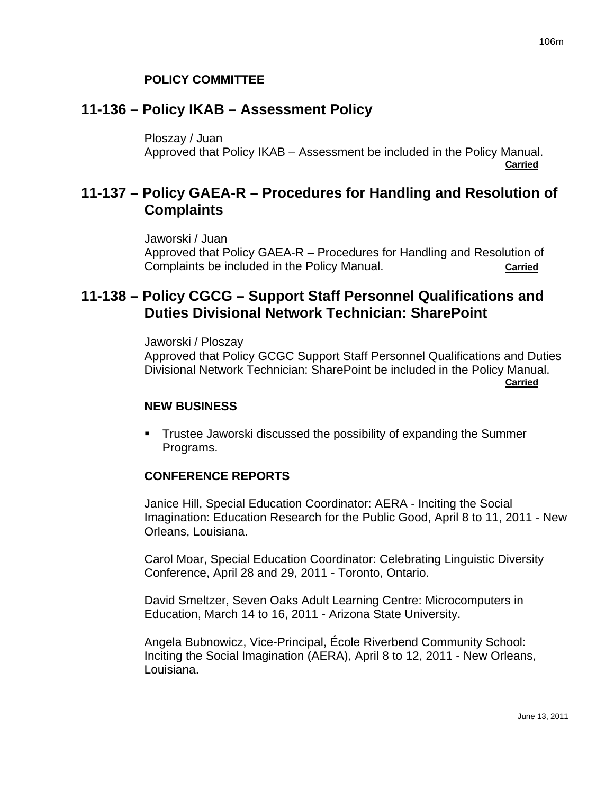### **POLICY COMMITTEE**

# **11-136 – Policy IKAB – Assessment Policy**

Ploszay / Juan

Approved that Policy IKAB – Assessment be included in the Policy Manual. **Carried**

# **11-137 – Policy GAEA-R – Procedures for Handling and Resolution of Complaints**

Jaworski / Juan Approved that Policy GAEA-R – Procedures for Handling and Resolution of Complaints be included in the Policy Manual. **Carried**

# **11-138 – Policy CGCG – Support Staff Personnel Qualifications and Duties Divisional Network Technician: SharePoint**

Jaworski / Ploszay Approved that Policy GCGC Support Staff Personnel Qualifications and Duties Divisional Network Technician: SharePoint be included in the Policy Manual. **Carried**

#### **NEW BUSINESS**

 Trustee Jaworski discussed the possibility of expanding the Summer Programs.

### **CONFERENCE REPORTS**

Janice Hill, Special Education Coordinator: AERA - Inciting the Social Imagination: Education Research for the Public Good, April 8 to 11, 2011 - New Orleans, Louisiana.

Carol Moar, Special Education Coordinator: Celebrating Linguistic Diversity Conference, April 28 and 29, 2011 - Toronto, Ontario.

David Smeltzer, Seven Oaks Adult Learning Centre: Microcomputers in Education, March 14 to 16, 2011 - Arizona State University.

Angela Bubnowicz, Vice-Principal, École Riverbend Community School: Inciting the Social Imagination (AERA), April 8 to 12, 2011 - New Orleans, Louisiana.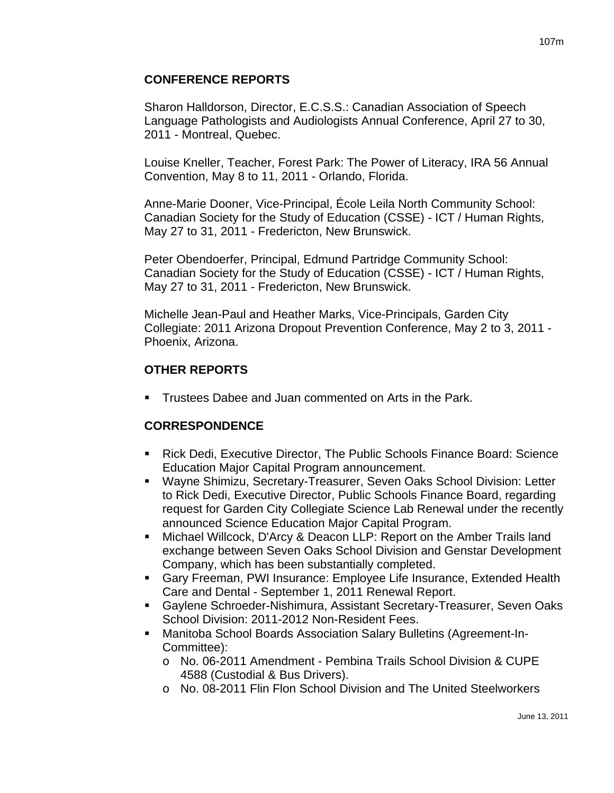### **CONFERENCE REPORTS**

Sharon Halldorson, Director, E.C.S.S.: Canadian Association of Speech Language Pathologists and Audiologists Annual Conference, April 27 to 30, 2011 - Montreal, Quebec.

Louise Kneller, Teacher, Forest Park: The Power of Literacy, IRA 56 Annual Convention, May 8 to 11, 2011 - Orlando, Florida.

Anne-Marie Dooner, Vice-Principal, École Leila North Community School: Canadian Society for the Study of Education (CSSE) - ICT / Human Rights, May 27 to 31, 2011 - Fredericton, New Brunswick.

Peter Obendoerfer, Principal, Edmund Partridge Community School: Canadian Society for the Study of Education (CSSE) - ICT / Human Rights, May 27 to 31, 2011 - Fredericton, New Brunswick.

Michelle Jean-Paul and Heather Marks, Vice-Principals, Garden City Collegiate: 2011 Arizona Dropout Prevention Conference, May 2 to 3, 2011 - Phoenix, Arizona.

## **OTHER REPORTS**

**Trustees Dabee and Juan commented on Arts in the Park.** 

## **CORRESPONDENCE**

- Rick Dedi, Executive Director, The Public Schools Finance Board: Science Education Major Capital Program announcement.
- Wayne Shimizu, Secretary-Treasurer, Seven Oaks School Division: Letter to Rick Dedi, Executive Director, Public Schools Finance Board, regarding request for Garden City Collegiate Science Lab Renewal under the recently announced Science Education Major Capital Program.
- Michael Willcock, D'Arcy & Deacon LLP: Report on the Amber Trails land exchange between Seven Oaks School Division and Genstar Development Company, which has been substantially completed.
- Gary Freeman, PWI Insurance: Employee Life Insurance, Extended Health Care and Dental - September 1, 2011 Renewal Report.
- Gaylene Schroeder-Nishimura, Assistant Secretary-Treasurer, Seven Oaks School Division: 2011-2012 Non-Resident Fees.
- Manitoba School Boards Association Salary Bulletins (Agreement-In-Committee):
	- o No. 06-2011 Amendment Pembina Trails School Division & CUPE 4588 (Custodial & Bus Drivers).
	- o No. 08-2011 Flin Flon School Division and The United Steelworkers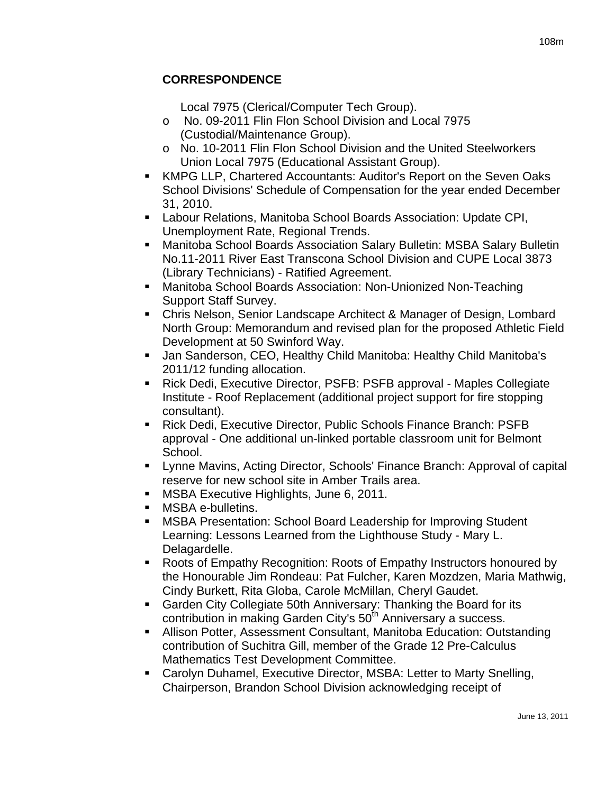Local 7975 (Clerical/Computer Tech Group).

- o No. 09-2011 Flin Flon School Division and Local 7975 (Custodial/Maintenance Group).
- o No. 10-2011 Flin Flon School Division and the United Steelworkers Union Local 7975 (Educational Assistant Group).
- KMPG LLP, Chartered Accountants: Auditor's Report on the Seven Oaks School Divisions' Schedule of Compensation for the year ended December 31, 2010.
- Labour Relations, Manitoba School Boards Association: Update CPI, Unemployment Rate, Regional Trends.
- Manitoba School Boards Association Salary Bulletin: MSBA Salary Bulletin No.11-2011 River East Transcona School Division and CUPE Local 3873 (Library Technicians) - Ratified Agreement.
- Manitoba School Boards Association: Non-Unionized Non-Teaching Support Staff Survey.
- **EXP** Chris Nelson, Senior Landscape Architect & Manager of Design, Lombard North Group: Memorandum and revised plan for the proposed Athletic Field Development at 50 Swinford Way.
- Jan Sanderson, CEO, Healthy Child Manitoba: Healthy Child Manitoba's 2011/12 funding allocation.
- Rick Dedi, Executive Director, PSFB: PSFB approval Maples Collegiate Institute - Roof Replacement (additional project support for fire stopping consultant).
- Rick Dedi, Executive Director, Public Schools Finance Branch: PSFB approval - One additional un-linked portable classroom unit for Belmont School.
- Lynne Mavins, Acting Director, Schools' Finance Branch: Approval of capital reserve for new school site in Amber Trails area.
- **MSBA Executive Highlights, June 6, 2011.**
- MSBA e-bulletins.
- MSBA Presentation: School Board Leadership for Improving Student Learning: Lessons Learned from the Lighthouse Study - Mary L. Delagardelle.
- Roots of Empathy Recognition: Roots of Empathy Instructors honoured by the Honourable Jim Rondeau: Pat Fulcher, Karen Mozdzen, Maria Mathwig, Cindy Burkett, Rita Globa, Carole McMillan, Cheryl Gaudet.
- Garden City Collegiate 50th Anniversary: Thanking the Board for its contribution in making Garden City's 50<sup>th</sup> Anniversary a success.
- Allison Potter, Assessment Consultant, Manitoba Education: Outstanding contribution of Suchitra Gill, member of the Grade 12 Pre-Calculus Mathematics Test Development Committee.
- Carolyn Duhamel, Executive Director, MSBA: Letter to Marty Snelling, Chairperson, Brandon School Division acknowledging receipt of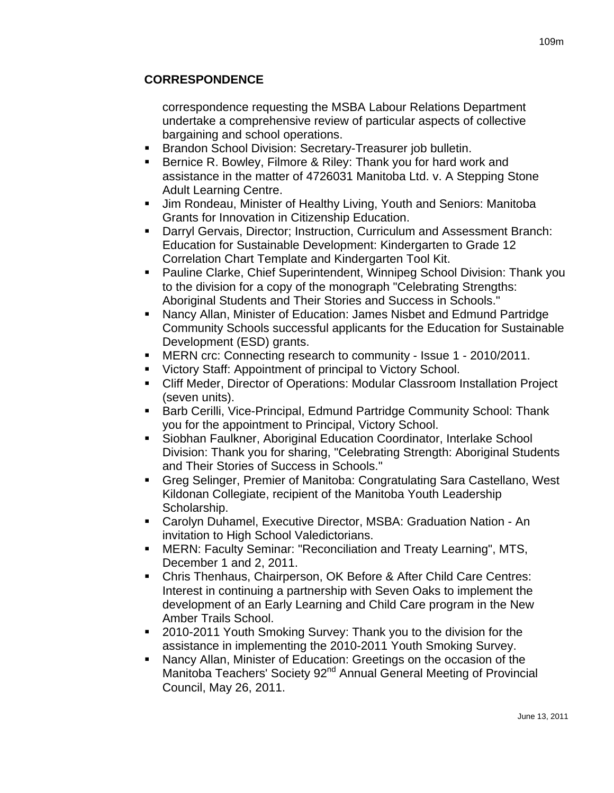## **CORRESPONDENCE**

correspondence requesting the MSBA Labour Relations Department undertake a comprehensive review of particular aspects of collective bargaining and school operations.

- Brandon School Division: Secretary-Treasurer job bulletin.
- **Bernice R. Bowley, Filmore & Riley: Thank you for hard work and** assistance in the matter of 4726031 Manitoba Ltd. v. A Stepping Stone Adult Learning Centre.
- **Jim Rondeau, Minister of Healthy Living, Youth and Seniors: Manitoba** Grants for Innovation in Citizenship Education.
- Darryl Gervais, Director; Instruction, Curriculum and Assessment Branch: Education for Sustainable Development: Kindergarten to Grade 12 Correlation Chart Template and Kindergarten Tool Kit.
- Pauline Clarke, Chief Superintendent, Winnipeg School Division: Thank you to the division for a copy of the monograph "Celebrating Strengths: Aboriginal Students and Their Stories and Success in Schools."
- Nancy Allan, Minister of Education: James Nisbet and Edmund Partridge Community Schools successful applicants for the Education for Sustainable Development (ESD) grants.
- MERN crc: Connecting research to community Issue 1 2010/2011.
- Victory Staff: Appointment of principal to Victory School.
- Cliff Meder, Director of Operations: Modular Classroom Installation Project (seven units).
- **Barb Cerilli, Vice-Principal, Edmund Partridge Community School: Thank** you for the appointment to Principal, Victory School.
- Siobhan Faulkner, Aboriginal Education Coordinator, Interlake School Division: Thank you for sharing, "Celebrating Strength: Aboriginal Students and Their Stories of Success in Schools."
- Greg Selinger, Premier of Manitoba: Congratulating Sara Castellano, West Kildonan Collegiate, recipient of the Manitoba Youth Leadership Scholarship.
- Carolyn Duhamel, Executive Director, MSBA: Graduation Nation An invitation to High School Valedictorians.
- MERN: Faculty Seminar: "Reconciliation and Treaty Learning", MTS, December 1 and 2, 2011.
- Chris Thenhaus, Chairperson, OK Before & After Child Care Centres: Interest in continuing a partnership with Seven Oaks to implement the development of an Early Learning and Child Care program in the New Amber Trails School.
- **2010-2011 Youth Smoking Survey: Thank you to the division for the** assistance in implementing the 2010-2011 Youth Smoking Survey.
- Nancy Allan, Minister of Education: Greetings on the occasion of the Manitoba Teachers' Society 92<sup>nd</sup> Annual General Meeting of Provincial Council, May 26, 2011.